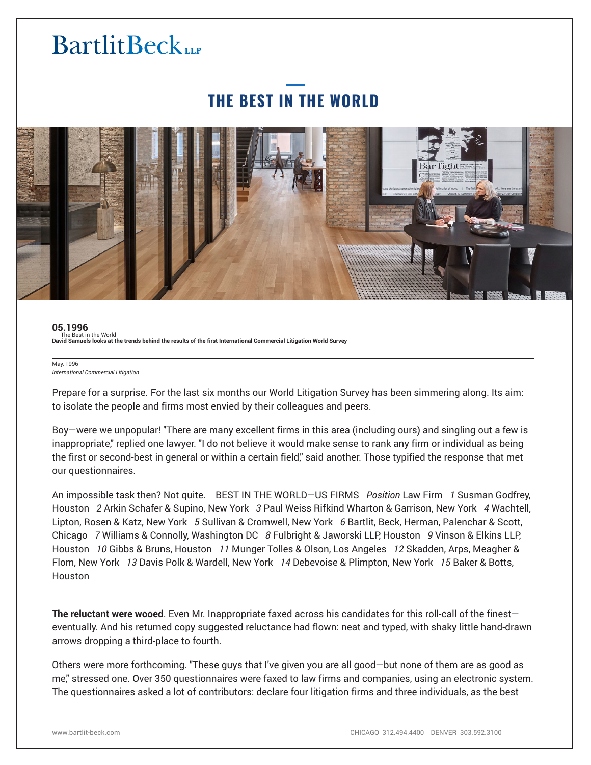### **THE BEST IN THE WORLD**



#### **05.1996** The Best in the World **David Samuels looks at the trends behind the results of the first International Commercial Litigation World Survey**

#### May, 1996 *International Commercial Litigation*

֦

Prepare for a surprise. For the last six months our World Litigation Survey has been simmering along. Its aim: to isolate the people and firms most envied by their colleagues and peers.

Boy—were we unpopular! "There are many excellent firms in this area (including ours) and singling out a few is inappropriate," replied one lawyer. "I do not believe it would make sense to rank any firm or individual as being the first or second-best in general or within a certain field," said another. Those typified the response that met our questionnaires.

An impossible task then? Not quite. BEST IN THE WORLD—US FIRMS *Position* Law Firm *1* Susman Godfrey, Houston *2* Arkin Schafer & Supino, New York *3* Paul Weiss Rifkind Wharton & Garrison, New York *4* Wachtell, Lipton, Rosen & Katz, New York *5* Sullivan & Cromwell, New York *6* Bartlit, Beck, Herman, Palenchar & Scott, Chicago *7* Williams & Connolly, Washington DC *8* Fulbright & Jaworski LLP, Houston *9* Vinson & Elkins LLP, Houston *10* Gibbs & Bruns, Houston *11* Munger Tolles & Olson, Los Angeles *12* Skadden, Arps, Meagher & Flom, New York *13* Davis Polk & Wardell, New York *14* Debevoise & Plimpton, New York *15* Baker & Botts, Houston

**The reluctant were wooed**. Even Mr. Inappropriate faxed across his candidates for this roll-call of the finest eventually. And his returned copy suggested reluctance had flown: neat and typed, with shaky little hand-drawn arrows dropping a third-place to fourth.

Others were more forthcoming. "These guys that I've given you are all good—but none of them are as good as me," stressed one. Over 350 questionnaires were faxed to law firms and companies, using an electronic system. The questionnaires asked a lot of contributors: declare four litigation firms and three individuals, as the best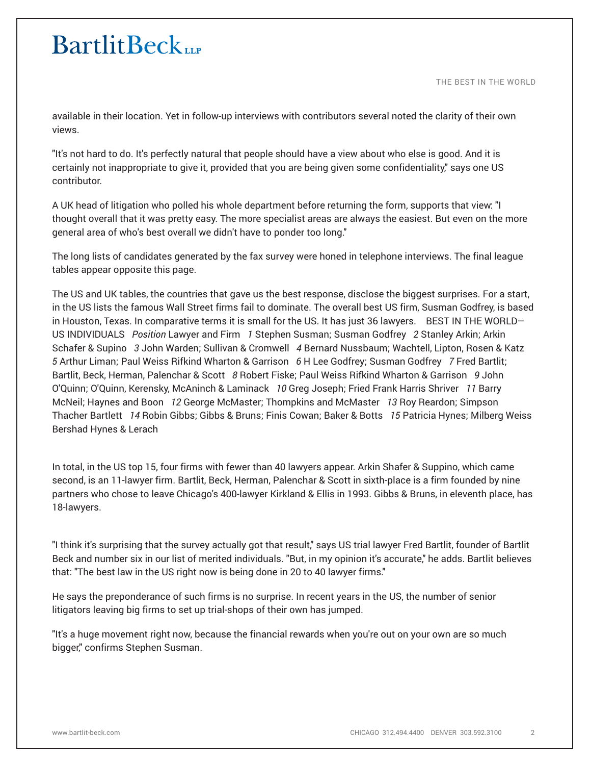THE BEST IN THE WORLD

available in their location. Yet in follow-up interviews with contributors several noted the clarity of their own views.

"It's not hard to do. It's perfectly natural that people should have a view about who else is good. And it is certainly not inappropriate to give it, provided that you are being given some confidentiality," says one US contributor.

A UK head of litigation who polled his whole department before returning the form, supports that view: "I thought overall that it was pretty easy. The more specialist areas are always the easiest. But even on the more general area of who's best overall we didn't have to ponder too long."

The long lists of candidates generated by the fax survey were honed in telephone interviews. The final league tables appear opposite this page.

The US and UK tables, the countries that gave us the best response, disclose the biggest surprises. For a start, in the US lists the famous Wall Street firms fail to dominate. The overall best US firm, Susman Godfrey, is based in Houston, Texas. In comparative terms it is small for the US. It has just 36 lawyers. BEST IN THE WORLD— US INDIVIDUALS *Position* Lawyer and Firm *1* Stephen Susman; Susman Godfrey *2* Stanley Arkin; Arkin Schafer & Supino *3* John Warden; Sullivan & Cromwell *4* Bernard Nussbaum; Wachtell, Lipton, Rosen & Katz *5* Arthur Liman; Paul Weiss Rifkind Wharton & Garrison *6* H Lee Godfrey; Susman Godfrey *7* Fred Bartlit; Bartlit, Beck, Herman, Palenchar & Scott *8* Robert Fiske; Paul Weiss Rifkind Wharton & Garrison *9* John O'Quinn; O'Quinn, Kerensky, McAninch & Laminack *10* Greg Joseph; Fried Frank Harris Shriver *11* Barry McNeil; Haynes and Boon *12* George McMaster; Thompkins and McMaster *13* Roy Reardon; Simpson Thacher Bartlett *14* Robin Gibbs; Gibbs & Bruns; Finis Cowan; Baker & Botts *15* Patricia Hynes; Milberg Weiss Bershad Hynes & Lerach

In total, in the US top 15, four firms with fewer than 40 lawyers appear. Arkin Shafer & Suppino, which came second, is an 11-lawyer firm. Bartlit, Beck, Herman, Palenchar & Scott in sixth-place is a firm founded by nine partners who chose to leave Chicago's 400-lawyer Kirkland & Ellis in 1993. Gibbs & Bruns, in eleventh place, has 18-lawyers.

"I think it's surprising that the survey actually got that result," says US trial lawyer Fred Bartlit, founder of Bartlit Beck and number six in our list of merited individuals. "But, in my opinion it's accurate," he adds. Bartlit believes that: "The best law in the US right now is being done in 20 to 40 lawyer firms."

He says the preponderance of such firms is no surprise. In recent years in the US, the number of senior litigators leaving big firms to set up trial-shops of their own has jumped.

"It's a huge movement right now, because the financial rewards when you're out on your own are so much bigger," confirms Stephen Susman.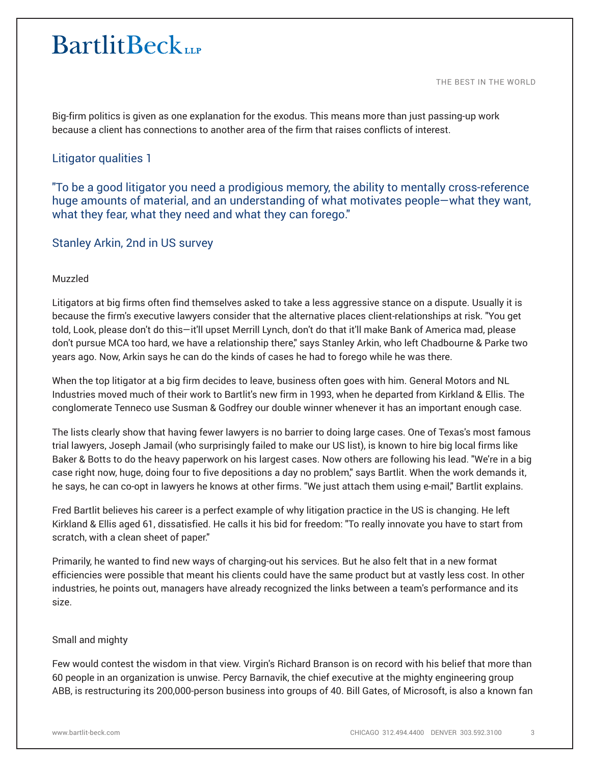THE BEST IN THE WORLD

Big-firm politics is given as one explanation for the exodus. This means more than just passing-up work because a client has connections to another area of the firm that raises conflicts of interest.

### Litigator qualities 1

"To be a good litigator you need a prodigious memory, the ability to mentally cross-reference huge amounts of material, and an understanding of what motivates people—what they want, what they fear, what they need and what they can forego."

Stanley Arkin, 2nd in US survey

### Muzzled

Litigators at big firms often find themselves asked to take a less aggressive stance on a dispute. Usually it is because the firm's executive lawyers consider that the alternative places client-relationships at risk. "You get told, Look, please don't do this—it'll upset Merrill Lynch, don't do that it'll make Bank of America mad, please don't pursue MCA too hard, we have a relationship there," says Stanley Arkin, who left Chadbourne & Parke two years ago. Now, Arkin says he can do the kinds of cases he had to forego while he was there.

When the top litigator at a big firm decides to leave, business often goes with him. General Motors and NL Industries moved much of their work to Bartlit's new firm in 1993, when he departed from Kirkland & Ellis. The conglomerate Tenneco use Susman & Godfrey our double winner whenever it has an important enough case.

The lists clearly show that having fewer lawyers is no barrier to doing large cases. One of Texas's most famous trial lawyers, Joseph Jamail (who surprisingly failed to make our US list), is known to hire big local firms like Baker & Botts to do the heavy paperwork on his largest cases. Now others are following his lead. "We're in a big case right now, huge, doing four to five depositions a day no problem," says Bartlit. When the work demands it, he says, he can co-opt in lawyers he knows at other firms. "We just attach them using e-mail," Bartlit explains.

Fred Bartlit believes his career is a perfect example of why litigation practice in the US is changing. He left Kirkland & Ellis aged 61, dissatisfied. He calls it his bid for freedom: "To really innovate you have to start from scratch, with a clean sheet of paper."

Primarily, he wanted to find new ways of charging-out his services. But he also felt that in a new format efficiencies were possible that meant his clients could have the same product but at vastly less cost. In other industries, he points out, managers have already recognized the links between a team's performance and its size.

#### Small and mighty

Few would contest the wisdom in that view. Virgin's Richard Branson is on record with his belief that more than 60 people in an organization is unwise. Percy Barnavik, the chief executive at the mighty engineering group ABB, is restructuring its 200,000-person business into groups of 40. Bill Gates, of Microsoft, is also a known fan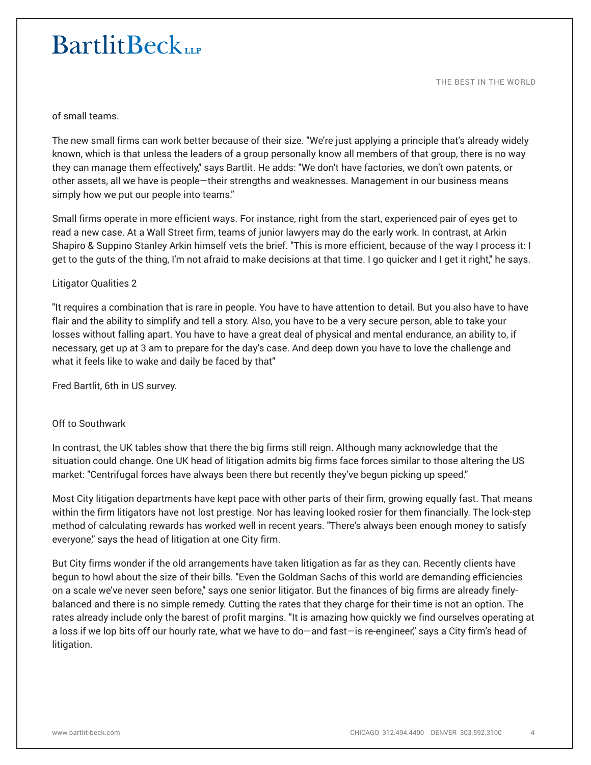THE BEST IN THE WORLD

of small teams.

The new small firms can work better because of their size. "We're just applying a principle that's already widely known, which is that unless the leaders of a group personally know all members of that group, there is no way they can manage them effectively," says Bartlit. He adds: "We don't have factories, we don't own patents, or other assets, all we have is people—their strengths and weaknesses. Management in our business means simply how we put our people into teams."

Small firms operate in more efficient ways. For instance, right from the start, experienced pair of eyes get to read a new case. At a Wall Street firm, teams of junior lawyers may do the early work. In contrast, at Arkin Shapiro & Suppino Stanley Arkin himself vets the brief. "This is more efficient, because of the way I process it: I get to the guts of the thing, I'm not afraid to make decisions at that time. I go quicker and I get it right," he says.

#### Litigator Qualities 2

"It requires a combination that is rare in people. You have to have attention to detail. But you also have to have flair and the ability to simplify and tell a story. Also, you have to be a very secure person, able to take your losses without falling apart. You have to have a great deal of physical and mental endurance, an ability to, if necessary, get up at 3 am to prepare for the day's case. And deep down you have to love the challenge and what it feels like to wake and daily be faced by that"

Fred Bartlit, 6th in US survey.

#### Off to Southwark

In contrast, the UK tables show that there the big firms still reign. Although many acknowledge that the situation could change. One UK head of litigation admits big firms face forces similar to those altering the US market: "Centrifugal forces have always been there but recently they've begun picking up speed."

Most City litigation departments have kept pace with other parts of their firm, growing equally fast. That means within the firm litigators have not lost prestige. Nor has leaving looked rosier for them financially. The lock-step method of calculating rewards has worked well in recent years. "There's always been enough money to satisfy everyone," says the head of litigation at one City firm.

But City firms wonder if the old arrangements have taken litigation as far as they can. Recently clients have begun to howl about the size of their bills. "Even the Goldman Sachs of this world are demanding efficiencies on a scale we've never seen before," says one senior litigator. But the finances of big firms are already finelybalanced and there is no simple remedy. Cutting the rates that they charge for their time is not an option. The rates already include only the barest of profit margins. "It is amazing how quickly we find ourselves operating at a loss if we lop bits off our hourly rate, what we have to do—and fast—is re-engineer," says a City firm's head of litigation.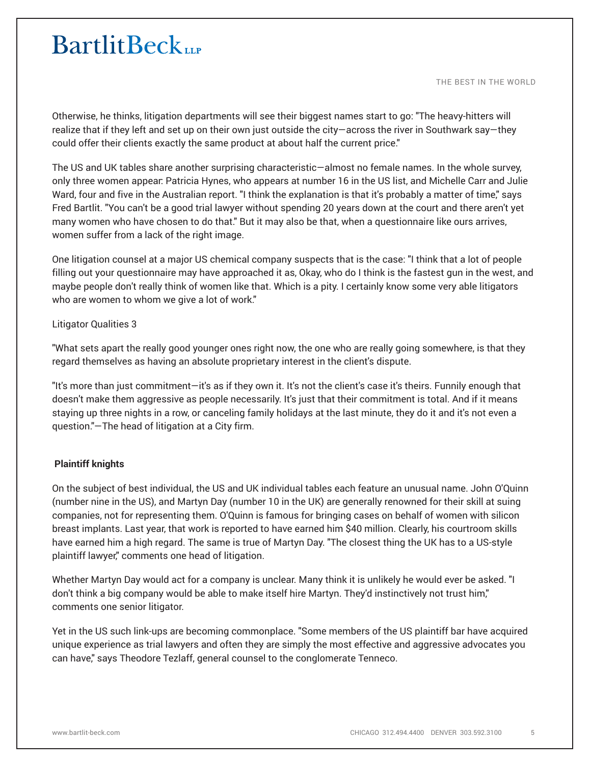THE BEST IN THE WORLD

Otherwise, he thinks, litigation departments will see their biggest names start to go: "The heavy-hitters will realize that if they left and set up on their own just outside the city—across the river in Southwark say—they could offer their clients exactly the same product at about half the current price."

The US and UK tables share another surprising characteristic—almost no female names. In the whole survey, only three women appear: Patricia Hynes, who appears at number 16 in the US list, and Michelle Carr and Julie Ward, four and five in the Australian report. "I think the explanation is that it's probably a matter of time," says Fred Bartlit. "You can't be a good trial lawyer without spending 20 years down at the court and there aren't yet many women who have chosen to do that." But it may also be that, when a questionnaire like ours arrives, women suffer from a lack of the right image.

One litigation counsel at a major US chemical company suspects that is the case: "I think that a lot of people filling out your questionnaire may have approached it as, Okay, who do I think is the fastest gun in the west, and maybe people don't really think of women like that. Which is a pity. I certainly know some very able litigators who are women to whom we give a lot of work."

### Litigator Qualities 3

"What sets apart the really good younger ones right now, the one who are really going somewhere, is that they regard themselves as having an absolute proprietary interest in the client's dispute.

"It's more than just commitment—it's as if they own it. It's not the client's case it's theirs. Funnily enough that doesn't make them aggressive as people necessarily. It's just that their commitment is total. And if it means staying up three nights in a row, or canceling family holidays at the last minute, they do it and it's not even a question."—The head of litigation at a City firm.

### **Plaintiff knights**

On the subject of best individual, the US and UK individual tables each feature an unusual name. John O'Quinn (number nine in the US), and Martyn Day (number 10 in the UK) are generally renowned for their skill at suing companies, not for representing them. O'Quinn is famous for bringing cases on behalf of women with silicon breast implants. Last year, that work is reported to have earned him \$40 million. Clearly, his courtroom skills have earned him a high regard. The same is true of Martyn Day. "The closest thing the UK has to a US-style plaintiff lawyer," comments one head of litigation.

Whether Martyn Day would act for a company is unclear. Many think it is unlikely he would ever be asked. "I don't think a big company would be able to make itself hire Martyn. They'd instinctively not trust him," comments one senior litigator.

Yet in the US such link-ups are becoming commonplace. "Some members of the US plaintiff bar have acquired unique experience as trial lawyers and often they are simply the most effective and aggressive advocates you can have," says Theodore Tezlaff, general counsel to the conglomerate Tenneco.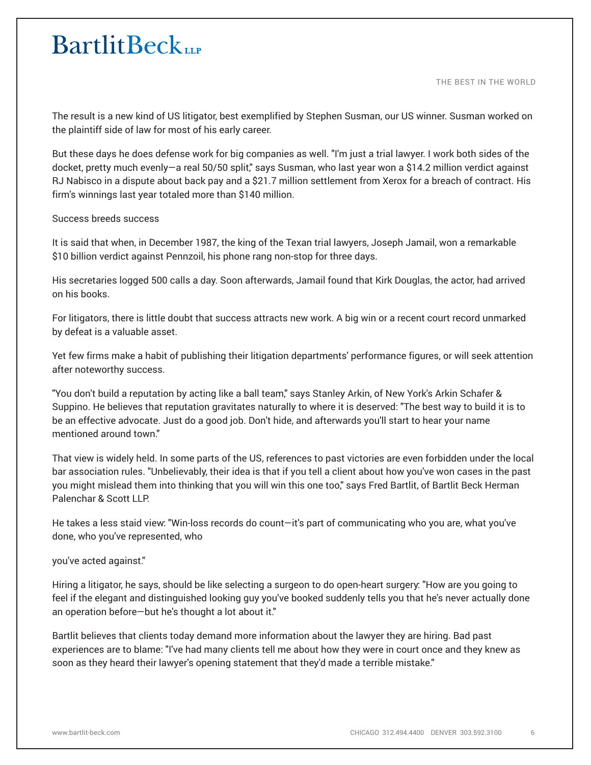THE BEST IN THE WORLD

The result is a new kind of US litigator, best exemplified by Stephen Susman, our US winner. Susman worked on the plaintiff side of law for most of his early career.

But these days he does defense work for big companies as well. "I'm just a trial lawyer. I work both sides of the docket, pretty much evenly—a real 50/50 split," says Susman, who last year won a \$14.2 million verdict against RJ Nabisco in a dispute about back pay and a \$21.7 million settlement from Xerox for a breach of contract. His firm's winnings last year totaled more than \$140 million.

#### Success breeds success

It is said that when, in December 1987, the king of the Texan trial lawyers, Joseph Jamail, won a remarkable \$10 billion verdict against Pennzoil, his phone rang non-stop for three days.

His secretaries logged 500 calls a day. Soon afterwards, Jamail found that Kirk Douglas, the actor, had arrived on his books.

For litigators, there is little doubt that success attracts new work. A big win or a recent court record unmarked by defeat is a valuable asset.

Yet few firms make a habit of publishing their litigation departments' performance figures, or will seek attention after noteworthy success.

"You don't build a reputation by acting like a ball team," says Stanley Arkin, of New York's Arkin Schafer & Suppino. He believes that reputation gravitates naturally to where it is deserved: "The best way to build it is to be an effective advocate. Just do a good job. Don't hide, and afterwards you'll start to hear your name mentioned around town."

That view is widely held. In some parts of the US, references to past victories are even forbidden under the local bar association rules. "Unbelievably, their idea is that if you tell a client about how you've won cases in the past you might mislead them into thinking that you will win this one too," says Fred Bartlit, of Bartlit Beck Herman Palenchar & Scott LLP.

He takes a less staid view: "Win-loss records do count—it's part of communicating who you are, what you've done, who you've represented, who

you've acted against."

Hiring a litigator, he says, should be like selecting a surgeon to do open-heart surgery: "How are you going to feel if the elegant and distinguished looking guy you've booked suddenly tells you that he's never actually done an operation before—but he's thought a lot about it."

Bartlit believes that clients today demand more information about the lawyer they are hiring. Bad past experiences are to blame: "I've had many clients tell me about how they were in court once and they knew as soon as they heard their lawyer's opening statement that they'd made a terrible mistake."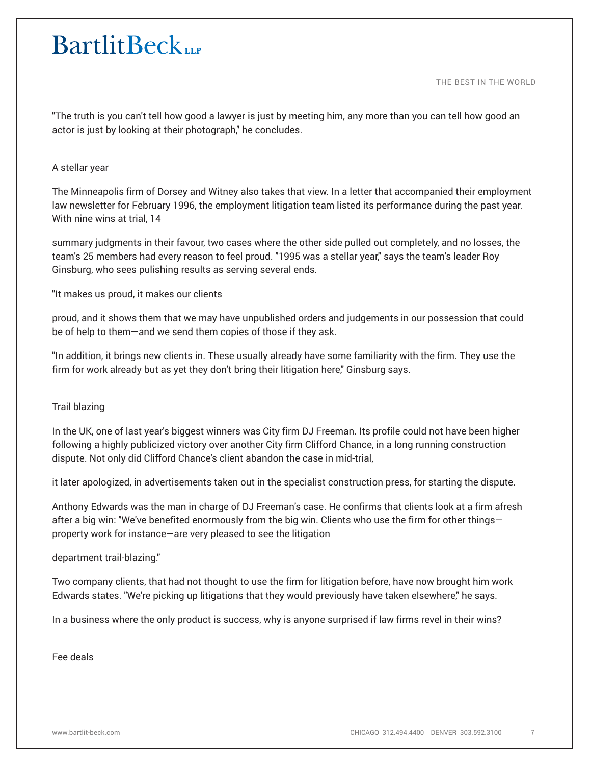THE BEST IN THE WORLD

"The truth is you can't tell how good a lawyer is just by meeting him, any more than you can tell how good an actor is just by looking at their photograph," he concludes.

#### A stellar year

The Minneapolis firm of Dorsey and Witney also takes that view. In a letter that accompanied their employment law newsletter for February 1996, the employment litigation team listed its performance during the past year. With nine wins at trial, 14

summary judgments in their favour, two cases where the other side pulled out completely, and no losses, the team's 25 members had every reason to feel proud. "1995 was a stellar year," says the team's leader Roy Ginsburg, who sees pulishing results as serving several ends.

"It makes us proud, it makes our clients

proud, and it shows them that we may have unpublished orders and judgements in our possession that could be of help to them—and we send them copies of those if they ask.

"In addition, it brings new clients in. These usually already have some familiarity with the firm. They use the firm for work already but as yet they don't bring their litigation here," Ginsburg says.

### Trail blazing

In the UK, one of last year's biggest winners was City firm DJ Freeman. Its profile could not have been higher following a highly publicized victory over another City firm Clifford Chance, in a long running construction dispute. Not only did Clifford Chance's client abandon the case in mid-trial,

it later apologized, in advertisements taken out in the specialist construction press, for starting the dispute.

Anthony Edwards was the man in charge of DJ Freeman's case. He confirms that clients look at a firm afresh after a big win: "We've benefited enormously from the big win. Clients who use the firm for other things property work for instance—are very pleased to see the litigation

#### department trail-blazing."

Two company clients, that had not thought to use the firm for litigation before, have now brought him work Edwards states. "We're picking up litigations that they would previously have taken elsewhere," he says.

In a business where the only product is success, why is anyone surprised if law firms revel in their wins?

Fee deals